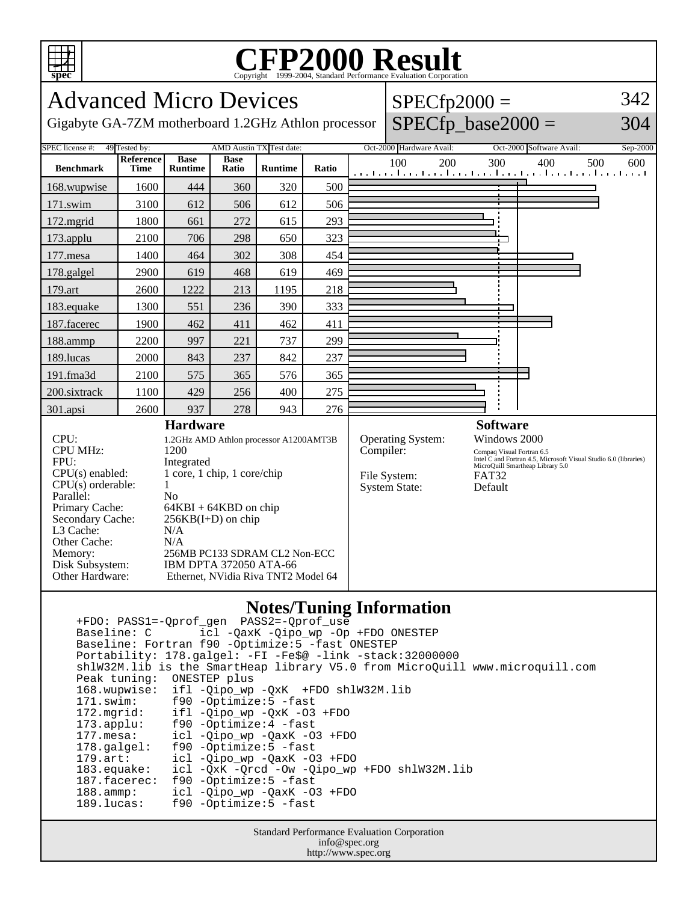

## Copyright ©1999-2004, Standard Performance Evaluation Corporation

| <b>Advanced Micro Devices</b>                                                                                                                                                                            |                   |                                                                                                                                                                                                                                                                                              |                      |                                 |       | $SPECfp2000 =$       |                                                                               |     |                  |                                 |                                                                                                                                   | 342 |          |
|----------------------------------------------------------------------------------------------------------------------------------------------------------------------------------------------------------|-------------------|----------------------------------------------------------------------------------------------------------------------------------------------------------------------------------------------------------------------------------------------------------------------------------------------|----------------------|---------------------------------|-------|----------------------|-------------------------------------------------------------------------------|-----|------------------|---------------------------------|-----------------------------------------------------------------------------------------------------------------------------------|-----|----------|
| Gigabyte GA-7ZM motherboard 1.2GHz Athlon processor                                                                                                                                                      |                   |                                                                                                                                                                                                                                                                                              |                      |                                 |       | $SPECfp\_base2000 =$ |                                                                               | 304 |                  |                                 |                                                                                                                                   |     |          |
| SPEC license #:<br>49 Tested by:<br>AMD Austin TX Test date:                                                                                                                                             |                   |                                                                                                                                                                                                                                                                                              |                      |                                 |       |                      | Oct-2000 Hardware Avail:                                                      |     |                  |                                 | Oct-2000 Software Avail:                                                                                                          |     | Sep-2000 |
| <b>Benchmark</b>                                                                                                                                                                                         | Reference<br>Time | <b>Base</b><br><b>Runtime</b>                                                                                                                                                                                                                                                                | <b>Base</b><br>Ratio | <b>Runtime</b>                  | Ratio |                      | 100                                                                           | 200 |                  | 300                             | 400<br>المتما وتباريتها وتبط وتباريتها وتتباري والمتبط وتباريتها وتواريعا                                                         | 500 | 600      |
| 168.wupwise                                                                                                                                                                                              | 1600              | 444                                                                                                                                                                                                                                                                                          | 360                  | 320                             | 500   |                      |                                                                               |     |                  |                                 |                                                                                                                                   |     |          |
| 171.swim                                                                                                                                                                                                 | 3100              | 612                                                                                                                                                                                                                                                                                          | 506                  | 612                             | 506   |                      |                                                                               |     |                  |                                 |                                                                                                                                   |     |          |
| 172.mgrid                                                                                                                                                                                                | 1800              | 661                                                                                                                                                                                                                                                                                          | 272                  | 615                             | 293   |                      |                                                                               |     |                  |                                 |                                                                                                                                   |     |          |
| 173.applu                                                                                                                                                                                                | 2100              | 706                                                                                                                                                                                                                                                                                          | 298                  | 650                             | 323   |                      |                                                                               |     |                  |                                 |                                                                                                                                   |     |          |
| 177.mesa                                                                                                                                                                                                 | 1400              | 464                                                                                                                                                                                                                                                                                          | 302                  | 308                             | 454   |                      |                                                                               |     |                  |                                 |                                                                                                                                   |     |          |
| 178.galgel                                                                                                                                                                                               | 2900              | 619                                                                                                                                                                                                                                                                                          | 468                  | 619                             | 469   |                      |                                                                               |     |                  |                                 |                                                                                                                                   |     |          |
| 179.art                                                                                                                                                                                                  | 2600              | 1222                                                                                                                                                                                                                                                                                         | 213                  | 1195                            | 218   |                      |                                                                               |     |                  |                                 |                                                                                                                                   |     |          |
| 183.equake                                                                                                                                                                                               | 1300              | 551                                                                                                                                                                                                                                                                                          | 236                  | 390                             | 333   |                      |                                                                               |     |                  |                                 |                                                                                                                                   |     |          |
| 187.facerec                                                                                                                                                                                              | 1900              | 462                                                                                                                                                                                                                                                                                          | 411                  | 462                             | 411   |                      |                                                                               |     |                  |                                 |                                                                                                                                   |     |          |
| 188.ammp                                                                                                                                                                                                 | 2200              | 997                                                                                                                                                                                                                                                                                          | 221                  | 737                             | 299   |                      |                                                                               |     |                  |                                 |                                                                                                                                   |     |          |
| 189.lucas                                                                                                                                                                                                | 2000              | 843                                                                                                                                                                                                                                                                                          | 237                  | 842                             | 237   |                      |                                                                               |     |                  |                                 |                                                                                                                                   |     |          |
| 191.fma3d                                                                                                                                                                                                | 2100              | 575                                                                                                                                                                                                                                                                                          | 365                  | 576                             | 365   |                      |                                                                               |     |                  |                                 |                                                                                                                                   |     |          |
| 200.sixtrack                                                                                                                                                                                             | 1100              | 429                                                                                                                                                                                                                                                                                          | 256                  | 400                             | 275   |                      |                                                                               |     |                  |                                 |                                                                                                                                   |     |          |
| 301.apsi                                                                                                                                                                                                 | 2600              | 937                                                                                                                                                                                                                                                                                          | 278                  | 943                             | 276   |                      |                                                                               |     |                  |                                 |                                                                                                                                   |     |          |
| CPU:<br><b>CPU MHz:</b><br>FPU:<br>CPU(s) enabled:<br>CPU(s) orderable:<br>Parallel:<br>Primary Cache:<br>Secondary Cache:<br>L3 Cache:<br>Other Cache:<br>Memory:<br>Disk Subsystem:<br>Other Hardware: |                   | <b>Hardware</b><br>1.2GHz AMD Athlon processor A1200AMT3B<br>1200<br>Integrated<br>1 core, 1 chip, 1 core/chip<br>1<br>No<br>$64KBI + 64KBD$ on chip<br>$256KB(I+D)$ on chip<br>N/A<br>N/A<br>256MB PC133 SDRAM CL2 Non-ECC<br>IBM DPTA 372050 ATA-66<br>Ethernet, NVidia Riva TNT2 Model 64 |                      |                                 |       |                      | <b>Operating System:</b><br>Compiler:<br>File System:<br><b>System State:</b> |     | FAT32<br>Default | <b>Software</b><br>Windows 2000 | Compaq Visual Fortran 6.5<br>Litel C and Fortran 4.5, Microsoft Visual Studio 6.0 (libraries)<br>MicroQuill Smartheap Library 5.0 |     |          |
|                                                                                                                                                                                                          |                   |                                                                                                                                                                                                                                                                                              |                      | <b>Notes/Tuning Information</b> |       |                      |                                                                               |     |                  |                                 |                                                                                                                                   |     |          |

## **Notes/Tuning Information**

 +FDO: PASS1=-Qprof\_gen PASS2=-Qprof\_use Baseline: C icl -QaxK -Qipo\_wp -Op +FDO ONESTEP Baseline: Fortran f90 -Optimize:5 -fast ONESTEP Portability: 178.galgel: -FI -Fe\$@ -link -stack:32000000 shlW32M.lib is the SmartHeap library V5.0 from MicroQuill www.microquill.com Peak tuning: ONESTEP plus 168.wupwise: ifl -Qipo\_wp -QxK +FDO shlW32M.lib 171.swim: f90 -Optimize:5 -fast<br>172.mgrid: ifl -Qipo\_wp -QxK -03 172.mgrid: ifl -Qipo\_wp -QxK -O3 +FDO 173.applu: f90 -Optimize:4 -fast 177.mesa: icl -Qipo\_wp -QaxK -O3 +FDO 178.galgel: f90 -Optimize:5 -fast<br>179.art: icl -Qipo\_wp -QaxK -O 179.art: icl -Qipo\_wp -QaxK -O3 +FDO<br>183.equake: icl -QxK -Qrcd -Ow -Qipo\_wp icl -QxK -Qrcd -Ow -Qipo\_wp +FDO shlW32M.lib 187.facerec: f90 -Optimize:5 -fast 188.ammp: icl -Qipo\_wp -QaxK -O3 +FDO<br>189.lucas: f90 -Optimize:5 -fast f90 -Optimize: 5 -fast

> Standard Performance Evaluation Corporation info@spec.org http://www.spec.org